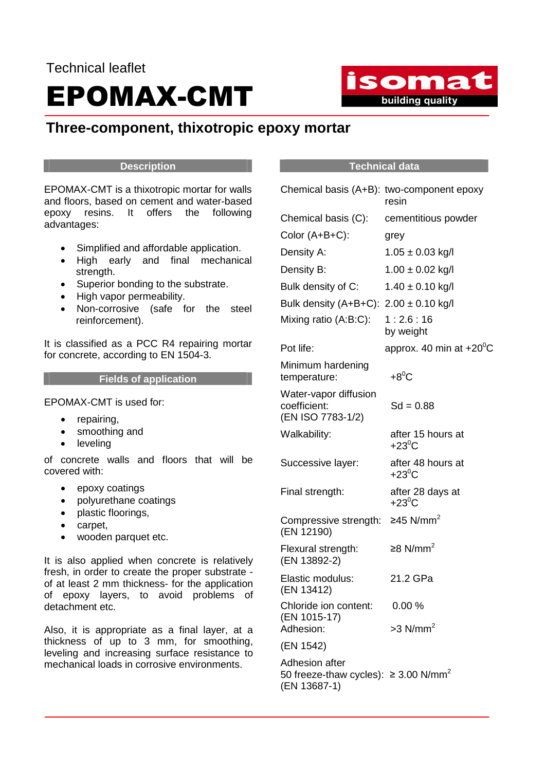# Technical leaflet EPOMAX-CMT

# **Three-component, thixotropic epoxy mortar**

### **Description**

EPOMAX-CMT is a thixotropic mortar for walls and floors, based on cement and water-based epoxy resins. It offers the following advantages:

- Simplified and affordable application.
- High early and final mechanical strength.
- Superior bonding to the substrate.
- High vapor permeability.
- Non-corrosive (safe for the steel reinforcement).

It is classified as a PCC R4 repairing mortar for concrete, according to EN 1504-3.

# **Fields of application**

EPOMAX-CMT is used for:

- repairing,
- smoothing and
- leveling

of concrete walls and floors that will be covered with:

- epoxy coatings
- polyurethane coatings
- plastic floorings,
- carpet,
- wooden parquet etc.

It is also applied when concrete is relatively fresh, in order to create the proper substrate of at least 2 mm thickness- for the application of epoxy layers, to avoid problems of detachment etc.

Also, it is appropriate as a final layer, at a thickness of up to 3 mm, for smoothing, leveling and increasing surface resistance to mechanical loads in corrosive environments.

# **Technical data**

| Chemical basis (A+B): two-component epoxy                                               | resin                                |
|-----------------------------------------------------------------------------------------|--------------------------------------|
| Chemical basis (C):                                                                     | cementitious powder                  |
| Color (A+B+C):                                                                          | grey                                 |
| Density A:                                                                              | $1.05 \pm 0.03$ kg/l                 |
| Density B:                                                                              | $1.00 \pm 0.02$ kg/l                 |
| Bulk density of C:                                                                      | $1.40 \pm 0.10$ kg/l                 |
| Bulk density $(A+B+C)$ : 2.00 $\pm$ 0.10 kg/l                                           |                                      |
| Mixing ratio (A:B:C):                                                                   | 1:2.6:16<br>by weight                |
| Pot life:                                                                               | approx. 40 min at $+20^{\circ}$ C    |
| Minimum hardening<br>temperature:                                                       | $+8^0C$                              |
| Water-vapor diffusion<br>coefficient:<br>(EN ISO 7783-1/2)                              | $Sd = 0.88$                          |
| Walkability:                                                                            | after 15 hours at<br>$+23^{\circ}$ C |
| Successive layer:                                                                       | after 48 hours at<br>$+23^{\circ}$ C |
| Final strength:                                                                         | after 28 days at<br>$+23^0C$         |
| Compressive strength:<br>(EN 12190)                                                     | ≥45 N/mm <sup>2</sup>                |
| Flexural strength:<br>(EN 13892-2)                                                      | ≥8 N/mm <sup>2</sup>                 |
| Elastic modulus:<br>(EN 13412)                                                          | 21.2 GPa                             |
| Chloride ion content:<br>(EN 1015-17)                                                   | 0.00%                                |
| Adhesion:                                                                               | $>3$ N/mm <sup>2</sup>               |
| (EN 1542)                                                                               |                                      |
| Adhesion after<br>50 freeze-thaw cycles): $\geq$ 3.00 N/mm <sup>2</sup><br>(EN 13687-1) |                                      |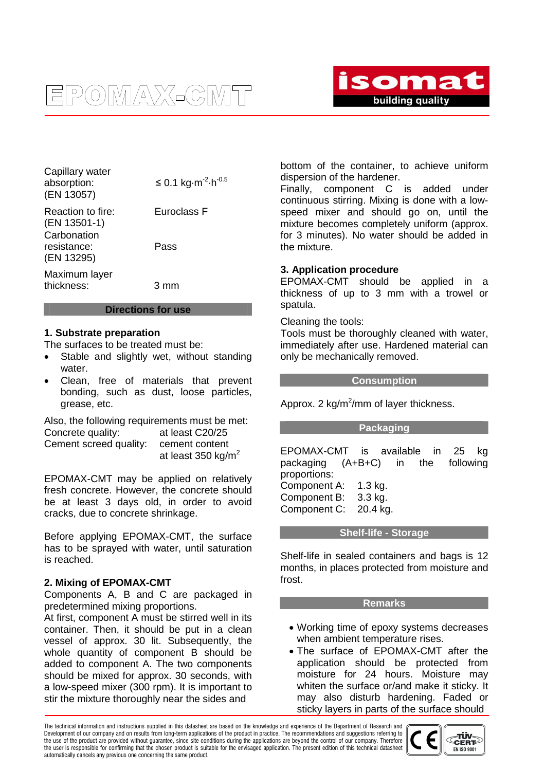



| Capillary water<br>absorption:<br>(EN 13057) | $≤$ 0.1 kg⋅m <sup>-2</sup> ⋅h <sup>-0.5</sup> |
|----------------------------------------------|-----------------------------------------------|
| Reaction to fire:<br>(EN 13501-1)            | Euroclass F                                   |
| Carbonation<br>resistance:<br>(EN 13295)     | Pass                                          |
| Maximum layer<br>thickness:                  | 3 mm                                          |

#### **Directions for use**

#### **1. Substrate preparation**

The surfaces to be treated must be:

- Stable and slightly wet, without standing water.
- Clean, free of materials that prevent bonding, such as dust, loose particles, grease, etc.

Also, the following requirements must be met: Concrete quality: at least C20/25 Cement screed quality: cement content at least  $350$  kg/m<sup>2</sup>

EPOMAX-CMT may be applied on relatively fresh concrete. However, the concrete should be at least 3 days old, in order to avoid cracks, due to concrete shrinkage.

Before applying EPOMAX-CMT, the surface has to be sprayed with water, until saturation is reached.

#### **2. Mixing of EPOMAX-CMT**

Components A, B and C are packaged in predetermined mixing proportions.

At first, component A must be stirred well in its container. Then, it should be put in a clean vessel of approx. 30 lit. Subsequently, the whole quantity of component B should be added to component A. The two components should be mixed for approx. 30 seconds, with a low-speed mixer (300 rpm). It is important to stir the mixture thoroughly near the sides and

bottom of the container, to achieve uniform dispersion of the hardener.

Finally, component C is added under continuous stirring. Mixing is done with a lowspeed mixer and should go on, until the mixture becomes completely uniform (approx. for 3 minutes). No water should be added in the mixture.

#### **3. Application procedure**

EPOMAX-CMT should be applied in a thickness of up to 3 mm with a trowel or spatula.

#### Cleaning the tools:

Tools must be thoroughly cleaned with water, immediately after use. Hardened material can only be mechanically removed.

#### **Consumption**

Approx. 2  $kg/m^2/mm$  of layer thickness.

#### **Packaging**

EPOMAX-CMT is available in 25 kg packaging (A+B+C) in the following proportions: Component A: 1.3 kg. Component B: 3.3 kg. Component C: 20.4 kg.

#### **Shelf-life - Storage**

Shelf-life in sealed containers and bags is 12 months, in places protected from moisture and frost.

#### **Remarks**

- Working time of epoxy systems decreases when ambient temperature rises.
- The surface of EPOMAX-CMT after the application should be protected from moisture for 24 hours. Moisture may whiten the surface or/and make it sticky. It may also disturb hardening. Faded or sticky layers in parts of the surface should

The technical information and instructions supplied in this datasheet are based on the knowledge and experience of the Department of Research and Development of our company and on results from long-term applications of the product in practice. The recommendations and suggestions referring to the use of the product are provided without guarantee, since site conditions during the applications are beyond the control of our company. Therefore the user is responsible for confirming that the chosen product is suitable for the envisaged application. The present edition of this technical datasheet automatically cancels any previous one concerning the same product.